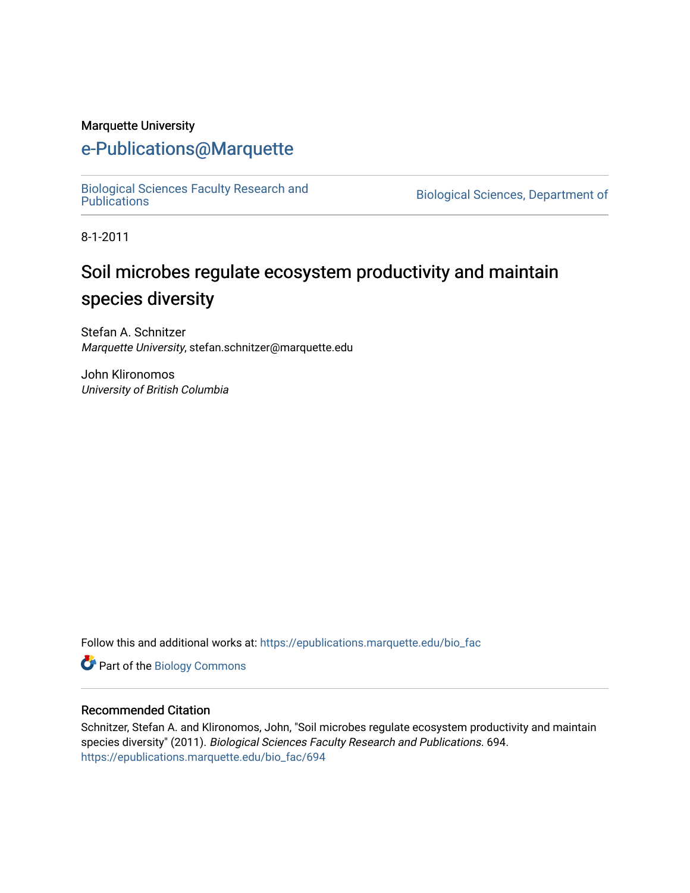#### Marquette University

### [e-Publications@Marquette](https://epublications.marquette.edu/)

[Biological Sciences Faculty Research and](https://epublications.marquette.edu/bio_fac) 

Biological Sciences, Department of

8-1-2011

# Soil microbes regulate ecosystem productivity and maintain species diversity

Stefan A. Schnitzer Marquette University, stefan.schnitzer@marquette.edu

John Klironomos University of British Columbia

Follow this and additional works at: [https://epublications.marquette.edu/bio\\_fac](https://epublications.marquette.edu/bio_fac?utm_source=epublications.marquette.edu%2Fbio_fac%2F694&utm_medium=PDF&utm_campaign=PDFCoverPages) 

**Part of the Biology Commons** 

#### Recommended Citation

Schnitzer, Stefan A. and Klironomos, John, "Soil microbes regulate ecosystem productivity and maintain species diversity" (2011). Biological Sciences Faculty Research and Publications. 694. [https://epublications.marquette.edu/bio\\_fac/694](https://epublications.marquette.edu/bio_fac/694?utm_source=epublications.marquette.edu%2Fbio_fac%2F694&utm_medium=PDF&utm_campaign=PDFCoverPages)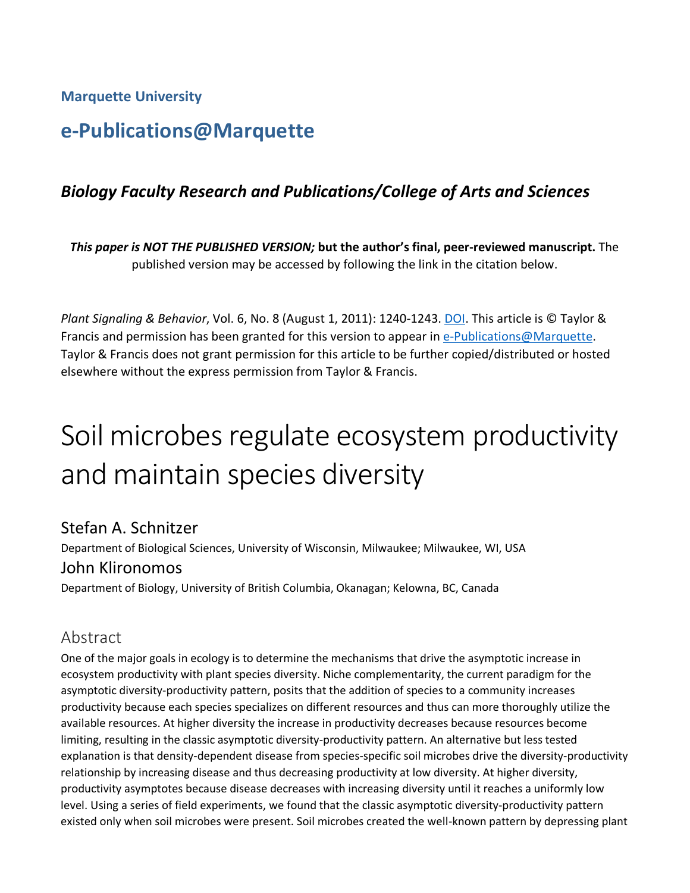**Marquette University**

# **e-Publications@Marquette**

#### *Biology Faculty Research and Publications/College of Arts and Sciences*

*This paper is NOT THE PUBLISHED VERSION;* **but the author's final, peer-reviewed manuscript.** The published version may be accessed by following the link in the citation below.

*Plant Signaling & Behavior*, Vol. 6, No. 8 (August 1, 2011): 1240-1243. DOI. This article is © Taylor & Francis and permission has been granted for this version to appear in [e-Publications@Marquette.](http://epublications.marquette.edu/) Taylor & Francis does not grant permission for this article to be further copied/distributed or hosted elsewhere without the express permission from Taylor & Francis.

# Soil microbes regulate ecosystem productivity and maintain species diversity

#### Stefan A. Schnitzer

Department of Biological Sciences, University of Wisconsin, Milwaukee; Milwaukee, WI, USA John Klironomos

Department of Biology, University of British Columbia, Okanagan; Kelowna, BC, Canada

#### Abstract

One of the major goals in ecology is to determine the mechanisms that drive the asymptotic increase in ecosystem productivity with plant species diversity. Niche complementarity, the current paradigm for the asymptotic diversity-productivity pattern, posits that the addition of species to a community increases productivity because each species specializes on different resources and thus can more thoroughly utilize the available resources. At higher diversity the increase in productivity decreases because resources become limiting, resulting in the classic asymptotic diversity-productivity pattern. An alternative but less tested explanation is that density-dependent disease from species-specific soil microbes drive the diversity-productivity relationship by increasing disease and thus decreasing productivity at low diversity. At higher diversity, productivity asymptotes because disease decreases with increasing diversity until it reaches a uniformly low level. Using a series of field experiments, we found that the classic asymptotic diversity-productivity pattern existed only when soil microbes were present. Soil microbes created the well-known pattern by depressing plant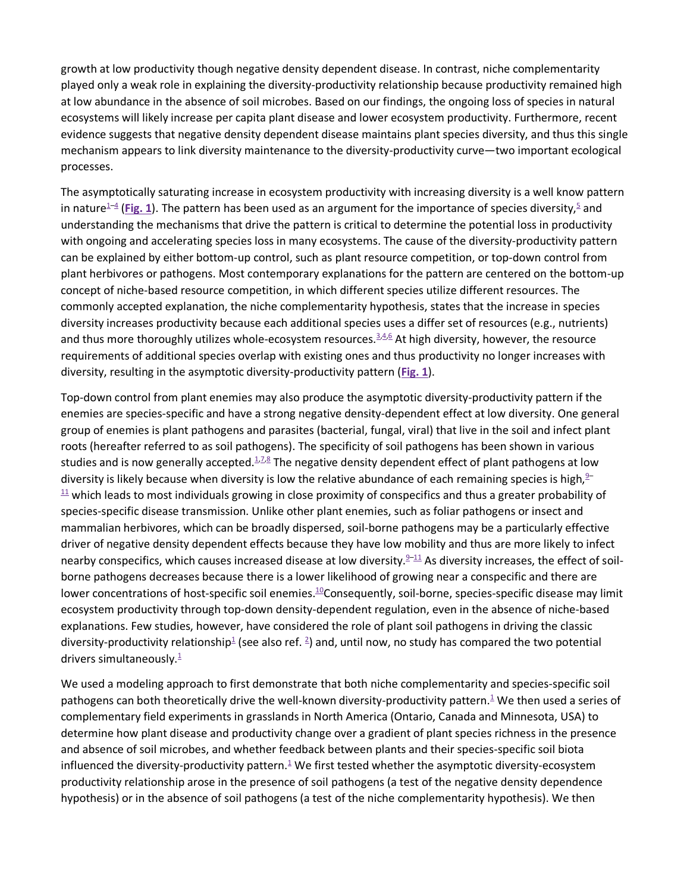growth at low productivity though negative density dependent disease. In contrast, niche complementarity played only a weak role in explaining the diversity-productivity relationship because productivity remained high at low abundance in the absence of soil microbes. Based on our findings, the ongoing loss of species in natural ecosystems will likely increase per capita plant disease and lower ecosystem productivity. Furthermore, recent evidence suggests that negative density dependent disease maintains plant species diversity, and thus this single mechanism appears to link diversity maintenance to the diversity-productivity curve—two important ecological processes.

The asymptotically saturating increase in ecosystem productivity with increasing diversity is a well know pattern in nature<sup>1-4</sup> (**[Fig. 1](https://www.ncbi.nlm.nih.gov/pmc/articles/PMC3260734/figure/F1/)**). The pattern has been used as an argument for the importance of species diversity, <sup>5</sup> and understanding the mechanisms that drive the pattern is critical to determine the potential loss in productivity with ongoing and accelerating species loss in many ecosystems. The cause of the diversity-productivity pattern can be explained by either bottom-up control, such as plant resource competition, or top-down control from plant herbivores or pathogens. Most contemporary explanations for the pattern are centered on the bottom-up concept of niche-based resource competition, in which different species utilize different resources. The commonly accepted explanation, the niche complementarity hypothesis, states that the increase in species diversity increases productivity because each additional species uses a differ set of resources (e.g., nutrients) and thus more thoroughly utilizes whole-ecosystem resources. $3,4,6$  $3,4,6$  $3,4,6$  At high diversity, however, the resource requirements of additional species overlap with existing ones and thus productivity no longer increases with diversity, resulting in the asymptotic diversity-productivity pattern (**[Fig. 1](https://www.ncbi.nlm.nih.gov/pmc/articles/PMC3260734/figure/F1/)**).

Top-down control from plant enemies may also produce the asymptotic diversity-productivity pattern if the enemies are species-specific and have a strong negative density-dependent effect at low diversity. One general group of enemies is plant pathogens and parasites (bacterial, fungal, viral) that live in the soil and infect plant roots (hereafter referred to as soil pathogens). The specificity of soil pathogens has been shown in various studies and is now generally accepted. $1/2,8}$  $1/2,8}$  $1/2,8}$  The negative density dependent effect of plant pathogens at low diversity is likely because when diversity is low the relative abundance of each remaining species is high, $9 11$  which leads to most individuals growing in close proximity of conspecifics and thus a greater probability of species-specific disease transmission. Unlike other plant enemies, such as foliar pathogens or insect and mammalian herbivores, which can be broadly dispersed, soil-borne pathogens may be a particularly effective driver of negative density dependent effects because they have low mobility and thus are more likely to infect nearby conspecifics, which causes increased disease at low diversity. $9-11$  As diversity increases, the effect of soilborne pathogens decreases because there is a lower likelihood of growing near a conspecific and there are lower concentrations of host-specific soil enemies.<sup>10</sup>Consequently, soil-borne, species-specific disease may limit ecosystem productivity through top-down density-dependent regulation, even in the absence of niche-based explanations. Few studies, however, have considered the role of plant soil pathogens in driving the classic diversity-productivity relationship<sup>1</sup> (see also ref. <sup>[2](https://www.ncbi.nlm.nih.gov/pmc/articles/PMC3260734/#R2)</sup>) and, until now, no study has compared the two potential drivers simultaneously. $\frac{1}{2}$ 

We used a modeling approach to first demonstrate that both niche complementarity and species-specific soil pathogens can both theoretically drive the well-known diversity-productivity pattern.<sup>1</sup> We then used a series of complementary field experiments in grasslands in North America (Ontario, Canada and Minnesota, USA) to determine how plant disease and productivity change over a gradient of plant species richness in the presence and absence of soil microbes, and whether feedback between plants and their species-specific soil biota influenced the diversity-productivity pattern. $\frac{1}{2}$  We first tested whether the asymptotic diversity-ecosystem productivity relationship arose in the presence of soil pathogens (a test of the negative density dependence hypothesis) or in the absence of soil pathogens (a test of the niche complementarity hypothesis). We then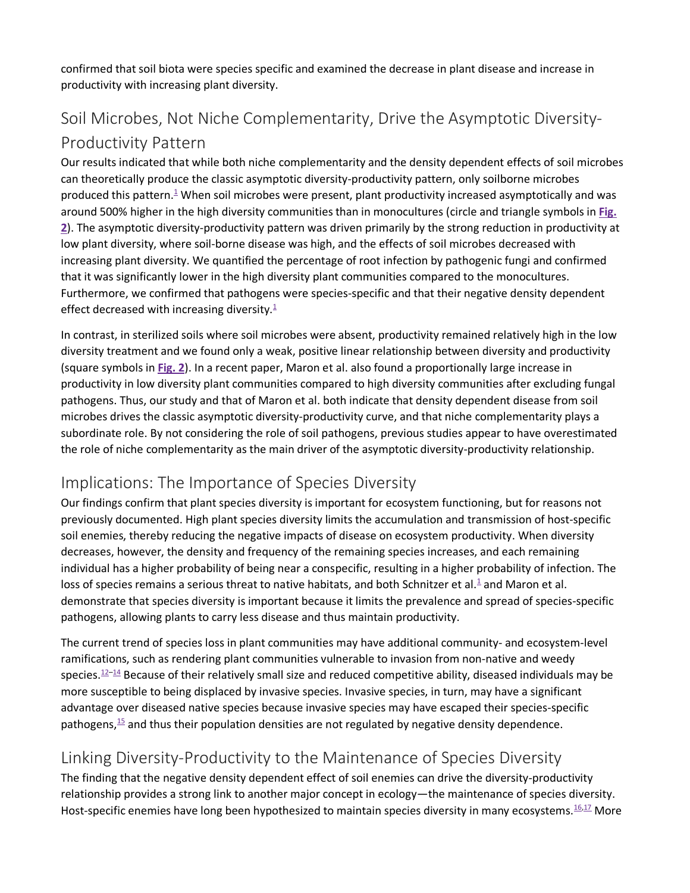confirmed that soil biota were species specific and examined the decrease in plant disease and increase in productivity with increasing plant diversity.

# Soil Microbes, Not Niche Complementarity, Drive the Asymptotic Diversity-Productivity Pattern

Our results indicated that while both niche complementarity and the density dependent effects of soil microbes can theoretically produce the classic asymptotic diversity-productivity pattern, only soilborne microbes produced this pattern. $\frac{1}{2}$  When soil microbes were present, plant productivity increased asymptotically and was around 500% higher in the high diversity communities than in monocultures (circle and triangle symbols in **[Fig.](https://www.ncbi.nlm.nih.gov/pmc/articles/PMC3260734/figure/F2/)  [2](https://www.ncbi.nlm.nih.gov/pmc/articles/PMC3260734/figure/F2/)**). The asymptotic diversity-productivity pattern was driven primarily by the strong reduction in productivity at low plant diversity, where soil-borne disease was high, and the effects of soil microbes decreased with increasing plant diversity. We quantified the percentage of root infection by pathogenic fungi and confirmed that it was significantly lower in the high diversity plant communities compared to the monocultures. Furthermore, we confirmed that pathogens were species-specific and that their negative density dependent effect decreased with increasing diversity. $1$ 

In contrast, in sterilized soils where soil microbes were absent, productivity remained relatively high in the low diversity treatment and we found only a weak, positive linear relationship between diversity and productivity (square symbols in **[Fig. 2](https://www.ncbi.nlm.nih.gov/pmc/articles/PMC3260734/figure/F2/)**). In a recent paper, Maron et al. also found a proportionally large increase in productivity in low diversity plant communities compared to high diversity communities after excluding fungal pathogens. Thus, our study and that of Maron et al. both indicate that density dependent disease from soil microbes drives the classic asymptotic diversity-productivity curve, and that niche complementarity plays a subordinate role. By not considering the role of soil pathogens, previous studies appear to have overestimated the role of niche complementarity as the main driver of the asymptotic diversity-productivity relationship.

## Implications: The Importance of Species Diversity

Our findings confirm that plant species diversity is important for ecosystem functioning, but for reasons not previously documented. High plant species diversity limits the accumulation and transmission of host-specific soil enemies, thereby reducing the negative impacts of disease on ecosystem productivity. When diversity decreases, however, the density and frequency of the remaining species increases, and each remaining individual has a higher probability of being near a conspecific, resulting in a higher probability of infection. The loss of species remains a serious threat to native habitats, and both Schnitzer et al. $\frac{1}{2}$  and Maron et al. demonstrate that species diversity is important because it limits the prevalence and spread of species-specific pathogens, allowing plants to carry less disease and thus maintain productivity.

The current trend of species loss in plant communities may have additional community- and ecosystem-level ramifications, such as rendering plant communities vulnerable to invasion from non-native and weedy species.<sup>12–[14](https://www.ncbi.nlm.nih.gov/pmc/articles/PMC3260734/#R14)</sup> Because of their relatively small size and reduced competitive ability, diseased individuals may be more susceptible to being displaced by invasive species. Invasive species, in turn, may have a significant advantage over diseased native species because invasive species may have escaped their species-specific pathogens, $15$  and thus their population densities are not regulated by negative density dependence.

# Linking Diversity-Productivity to the Maintenance of Species Diversity

The finding that the negative density dependent effect of soil enemies can drive the diversity-productivity relationship provides a strong link to another major concept in ecology—the maintenance of species diversity. Host-specific enemies have long been hypothesized to maintain species diversity in many ecosystems.<sup>16,[17](https://www.ncbi.nlm.nih.gov/pmc/articles/PMC3260734/#R17)</sup> More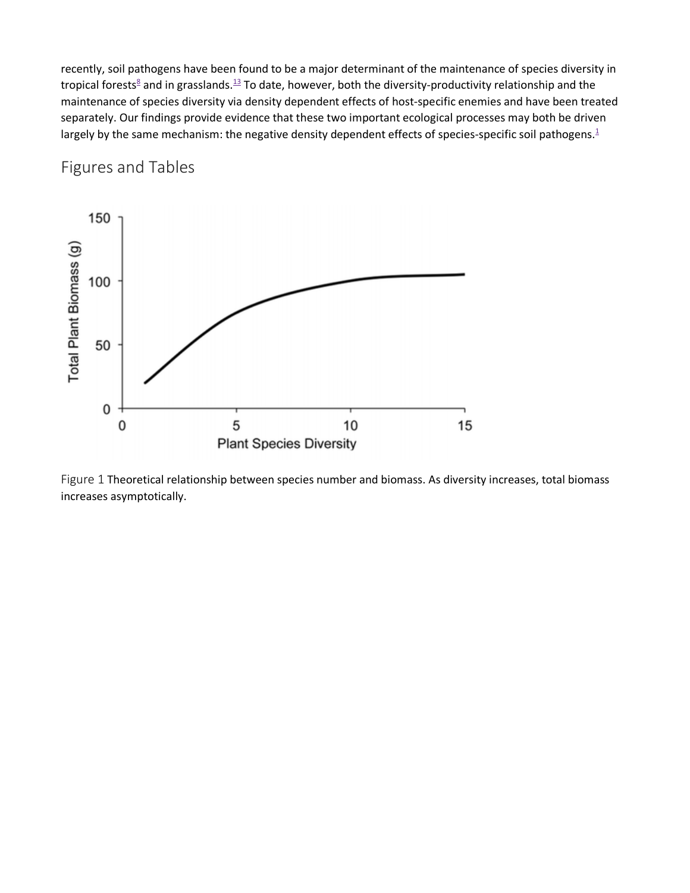recently, soil pathogens have been found to be a major determinant of the maintenance of species diversity in tropical forests<sup>8</sup> and in grasslands.<sup>13</sup> To date, however, both the diversity-productivity relationship and the maintenance of species diversity via density dependent effects of host-specific enemies and have been treated separately. Our findings provide evidence that these two important ecological processes may both be driven largely by the same mechanism: the negative density dependent effects of species-specific soil pathogens. $1/2$ 

## Figures and Tables



Figure 1 Theoretical relationship between species number and biomass. As diversity increases, total biomass increases asymptotically.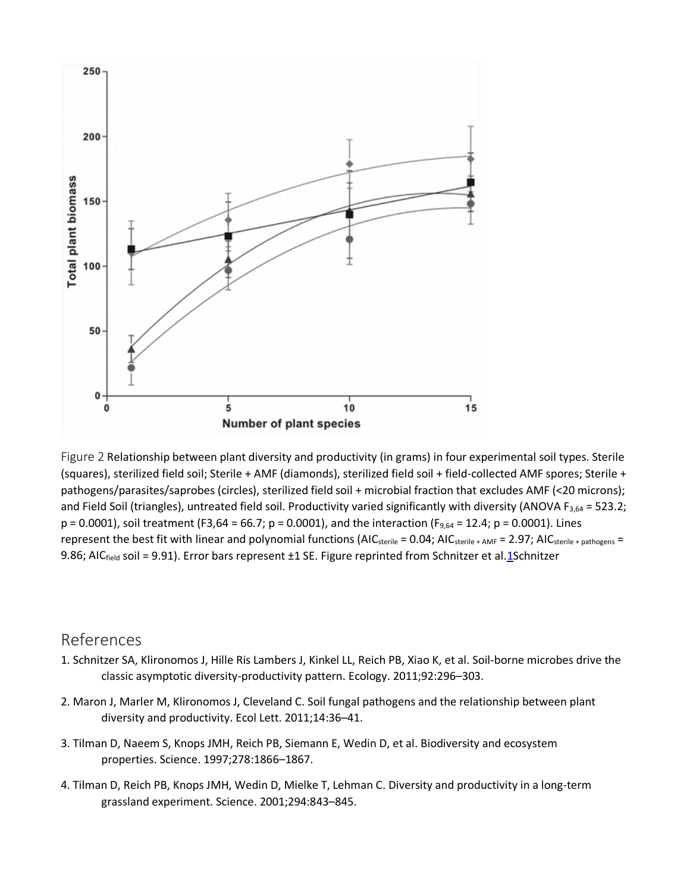

Figure 2 Relationship between plant diversity and productivity (in grams) in four experimental soil types. Sterile (squares), sterilized field soil; Sterile + AMF (diamonds), sterilized field soil + field-collected AMF spores; Sterile + pathogens/parasites/saprobes (circles), sterilized field soil + microbial fraction that excludes AMF (<20 microns); and Field Soil (triangles), untreated field soil. Productivity varied significantly with diversity (ANOVA  $F_{3,64}$  = 523.2;  $p = 0.0001$ , soil treatment (F3,64 = 66.7;  $p = 0.0001$ ), and the interaction (F<sub>9,64</sub> = 12.4;  $p = 0.0001$ ). Lines represent the best fit with linear and polynomial functions (AIC<sub>sterile</sub> = 0.04; AIC<sub>sterile + AMF</sub> = 2.97; AIC<sub>sterile + pathogens</sub> = 9.86; AICfield soil = 9.91). Error bars represent ±1 SE. Figure reprinted from Schnitzer et al[.1S](https://www.tandfonline.com/doi/full/10.4161/psb.6.8.16455)chnitzer

#### References

- 1. Schnitzer SA, Klironomos J, Hille Ris Lambers J, Kinkel LL, Reich PB, Xiao K, et al. Soil-borne microbes drive the classic asymptotic diversity-productivity pattern. Ecology. 2011;92:296–303.
- 2. Maron J, Marler M, Klironomos J, Cleveland C. Soil fungal pathogens and the relationship between plant diversity and productivity. Ecol Lett. 2011;14:36–41.
- 3. Tilman D, Naeem S, Knops JMH, Reich PB, Siemann E, Wedin D, et al. Biodiversity and ecosystem properties. Science. 1997;278:1866–1867.
- 4. Tilman D, Reich PB, Knops JMH, Wedin D, Mielke T, Lehman C. Diversity and productivity in a long-term grassland experiment. Science. 2001;294:843–845.